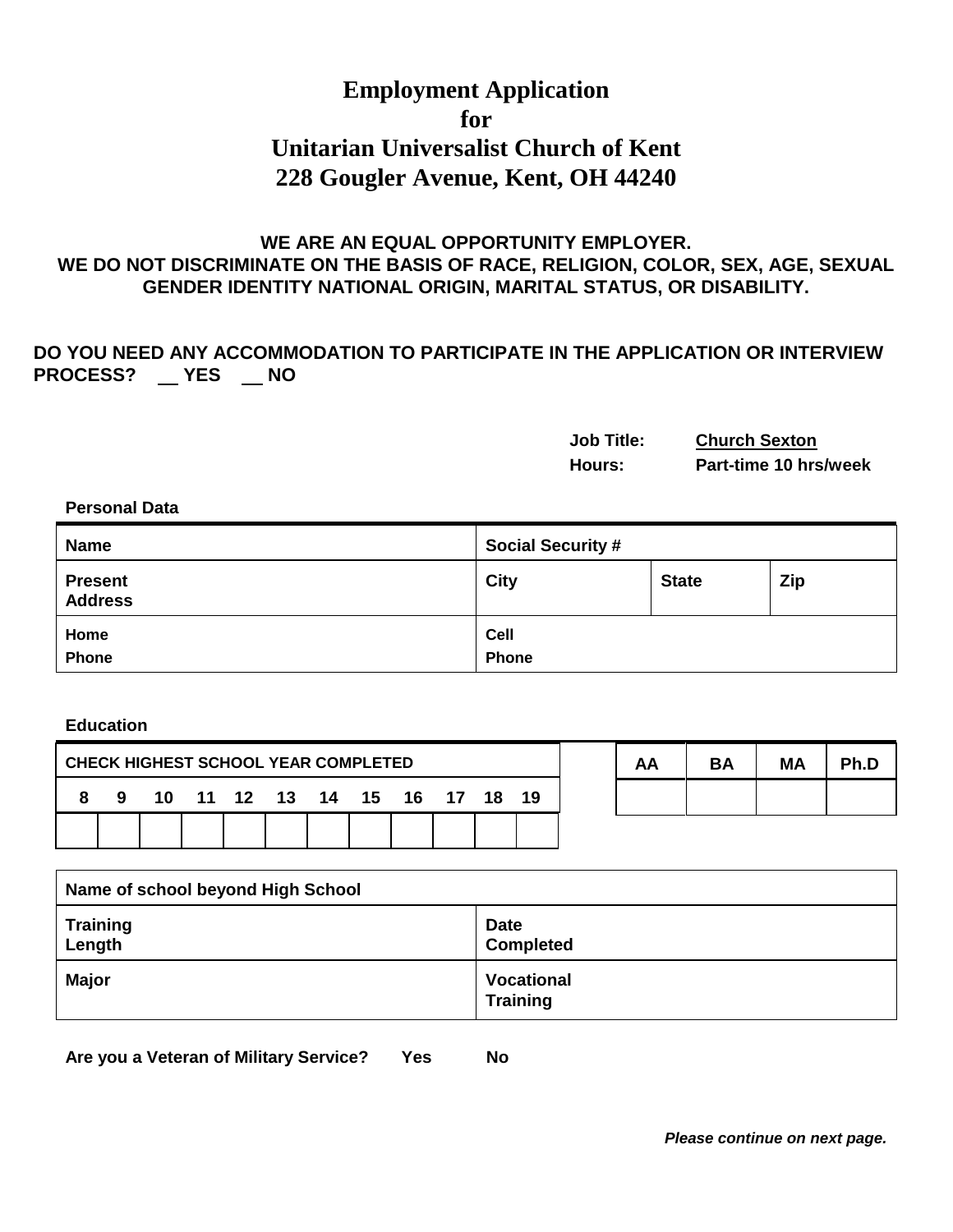# **Employment Application for Unitarian Universalist Church of Kent 228 Gougler Avenue, Kent, OH 44240**

### **WE ARE AN EQUAL OPPORTUNITY EMPLOYER. WE DO NOT DISCRIMINATE ON THE BASIS OF RACE, RELIGION, COLOR, SEX, AGE, SEXUAL GENDER IDENTITY NATIONAL ORIGIN, MARITAL STATUS, OR DISABILITY.**

# **DO YOU NEED ANY ACCOMMODATION TO PARTICIPATE IN THE APPLICATION OR INTERVIEW**  PROCESS? \_\_ YES \_\_ NO

| <b>Job Title:</b> | <b>Church Sexton</b>  |
|-------------------|-----------------------|
| Hours:            | Part-time 10 hrs/week |

#### **Personal Data**

| <b>Name</b>                      | <b>Social Security #</b> |              |            |
|----------------------------------|--------------------------|--------------|------------|
| <b>Present</b><br><b>Address</b> | <b>City</b>              | <b>State</b> | <b>Zip</b> |
| Home<br><b>Phone</b>             | Cell<br>Phone            |              |            |

#### **Education**

| <b>CHECK HIGHEST SCHOOL YEAR COMPLETED</b> |  |                                |  | AA | RΔ | MΑ | <b>Ph D</b> |  |  |  |  |
|--------------------------------------------|--|--------------------------------|--|----|----|----|-------------|--|--|--|--|
|                                            |  | 8 9 10 11 12 13 14 15 16 17 18 |  |    |    |    | 19          |  |  |  |  |
|                                            |  |                                |  |    |    |    |             |  |  |  |  |

| Name of school beyond High School |                                      |
|-----------------------------------|--------------------------------------|
| Training<br>Length                | <b>Date</b><br><b>Completed</b>      |
| <b>Major</b>                      | <b>Vocational</b><br><b>Training</b> |

**Are you a Veteran of Military Service? Yes No**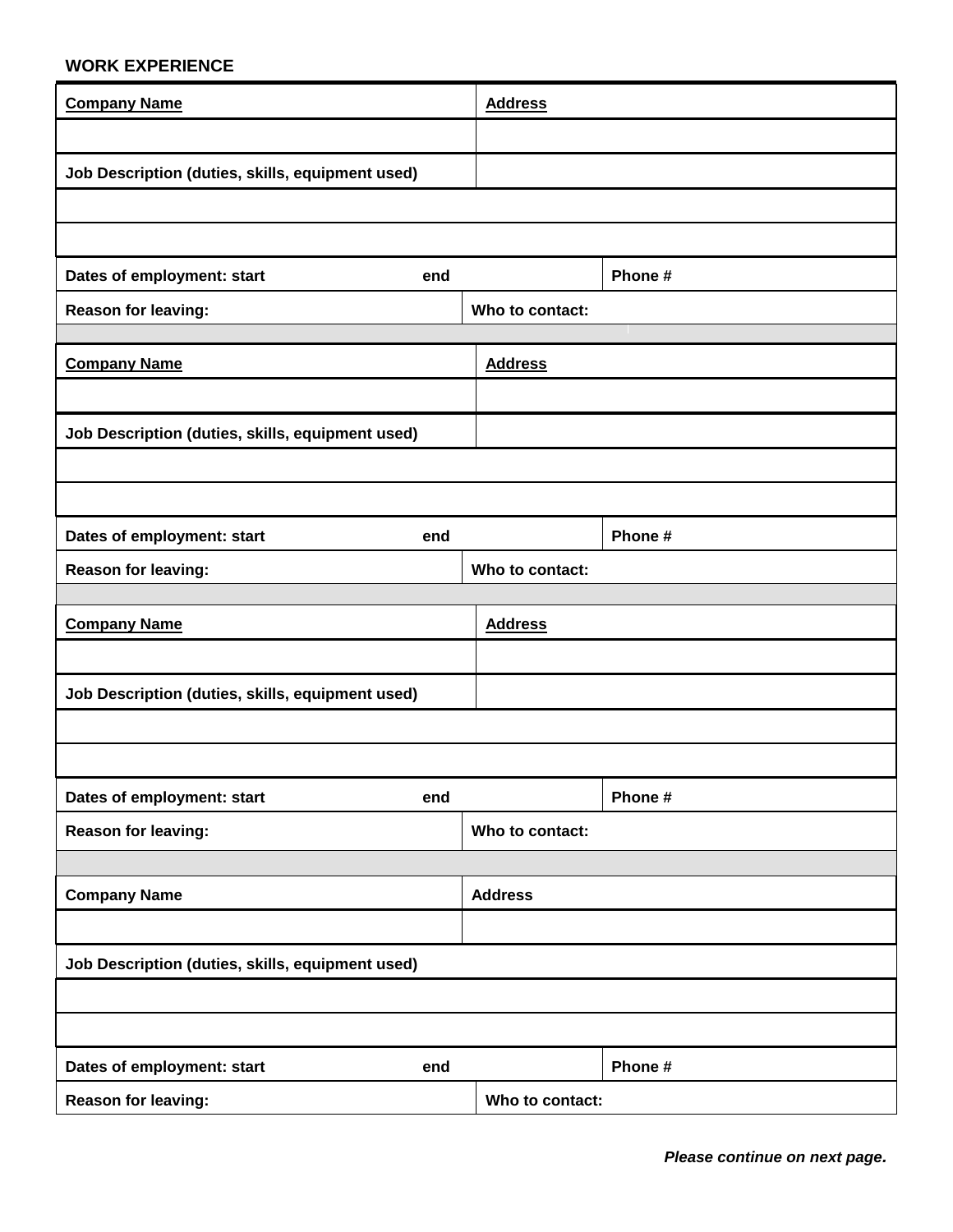## **WORK EXPERIENCE**

| <b>Company Name</b>                              | <b>Address</b>  |         |  |
|--------------------------------------------------|-----------------|---------|--|
|                                                  |                 |         |  |
| Job Description (duties, skills, equipment used) |                 |         |  |
|                                                  |                 |         |  |
|                                                  |                 |         |  |
| Dates of employment: start<br>end                |                 | Phone # |  |
| <b>Reason for leaving:</b>                       | Who to contact: |         |  |
|                                                  |                 |         |  |
| <b>Company Name</b>                              | <b>Address</b>  |         |  |
|                                                  |                 |         |  |
| Job Description (duties, skills, equipment used) |                 |         |  |
|                                                  |                 |         |  |
| Dates of employment: start<br>end                |                 | Phone # |  |
| Reason for leaving:                              | Who to contact: |         |  |
|                                                  |                 |         |  |
| <b>Company Name</b>                              | <b>Address</b>  |         |  |
|                                                  |                 |         |  |
| Job Description (duties, skills, equipment used) |                 |         |  |
|                                                  |                 |         |  |
|                                                  |                 |         |  |
| Dates of employment: start<br>end                |                 | Phone # |  |
| Reason for leaving:                              | Who to contact: |         |  |
|                                                  |                 |         |  |
| <b>Company Name</b>                              | <b>Address</b>  |         |  |
|                                                  |                 |         |  |
| Job Description (duties, skills, equipment used) |                 |         |  |
|                                                  |                 |         |  |
|                                                  |                 |         |  |
| Dates of employment: start<br>end                |                 | Phone # |  |
| Reason for leaving:                              | Who to contact: |         |  |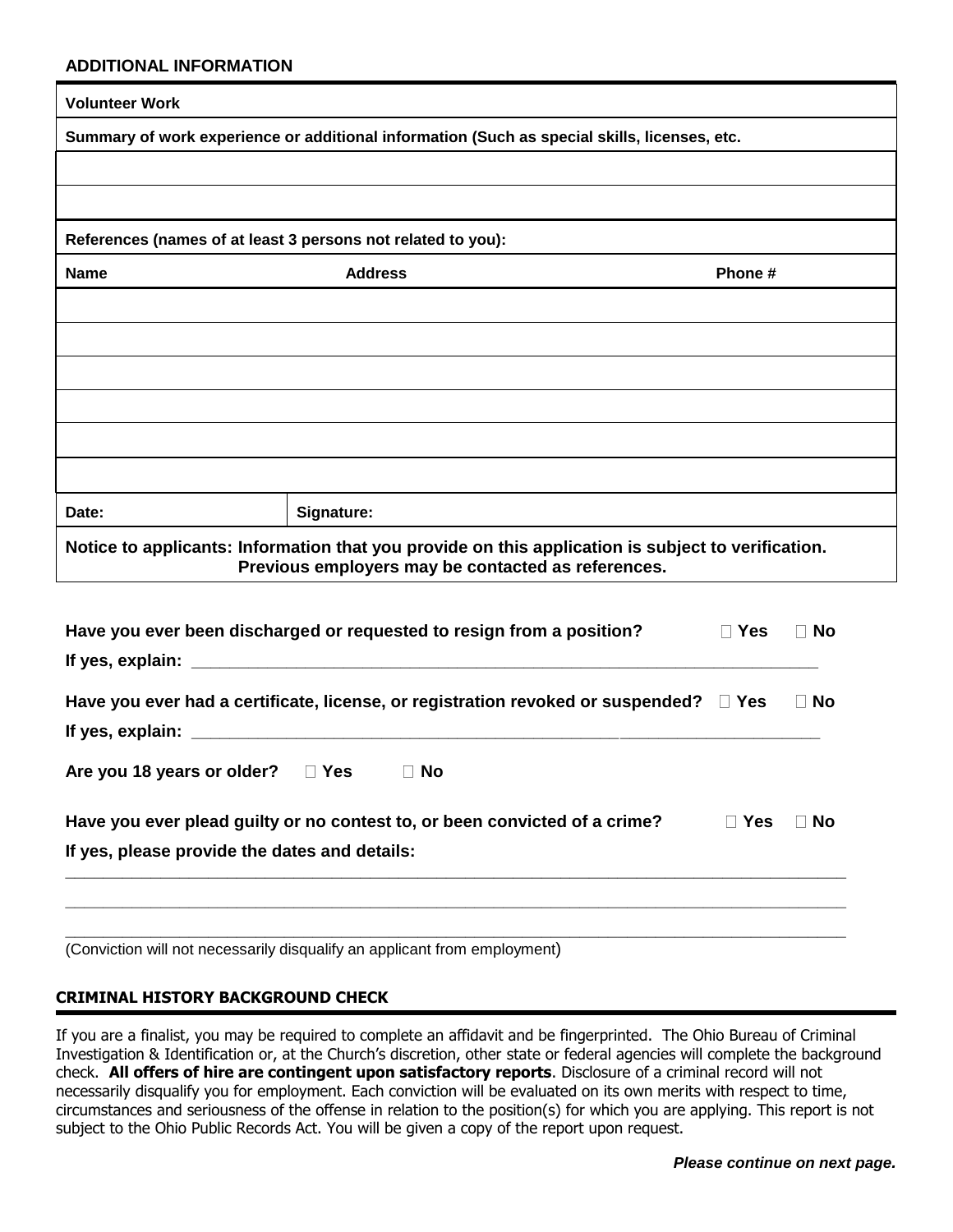#### **ADDITIONAL INFORMATION**

| <b>Volunteer Work</b> |                                                                                                                                                          |                         |
|-----------------------|----------------------------------------------------------------------------------------------------------------------------------------------------------|-------------------------|
|                       | Summary of work experience or additional information (Such as special skills, licenses, etc.                                                             |                         |
|                       |                                                                                                                                                          |                         |
|                       |                                                                                                                                                          |                         |
|                       | References (names of at least 3 persons not related to you):                                                                                             |                         |
| <b>Name</b>           | <b>Address</b>                                                                                                                                           | Phone #                 |
|                       |                                                                                                                                                          |                         |
|                       |                                                                                                                                                          |                         |
|                       |                                                                                                                                                          |                         |
|                       |                                                                                                                                                          |                         |
|                       |                                                                                                                                                          |                         |
|                       |                                                                                                                                                          |                         |
| Date:                 | Signature:                                                                                                                                               |                         |
|                       | Notice to applicants: Information that you provide on this application is subject to verification.<br>Previous employers may be contacted as references. |                         |
|                       |                                                                                                                                                          |                         |
|                       | Have you ever been discharged or requested to resign from a position?                                                                                    | $\Box$ Yes<br>$\neg$ No |
| If yes, explain:      |                                                                                                                                                          |                         |

| Have you ever had a certificate, license, or registration revoked or suspended? $\square$ Yes |            | $\Box$ No |  |  |  |
|-----------------------------------------------------------------------------------------------|------------|-----------|--|--|--|
| If yes, explain: $\sqrt{2\pi}$                                                                |            |           |  |  |  |
| Are you 18 years or older? $\Box$ Yes<br>$\Box$ No                                            |            |           |  |  |  |
| Have you ever plead guilty or no contest to, or been convicted of a crime?                    | $\Box$ Yes | $\Box$ No |  |  |  |
| If yes, please provide the dates and details:                                                 |            |           |  |  |  |

**\_\_\_\_\_\_\_\_\_\_\_\_\_\_\_\_\_\_\_\_\_\_\_\_\_\_\_\_\_\_\_\_\_\_\_\_\_\_\_\_\_\_\_\_\_\_\_\_\_\_\_\_\_\_\_\_\_\_\_\_\_\_\_\_\_\_\_\_\_\_\_\_\_\_\_\_\_\_\_\_\_\_ \_\_\_\_\_\_\_\_\_\_\_\_\_\_\_\_\_\_\_\_\_\_\_\_\_\_\_\_\_\_\_\_\_\_\_\_\_\_\_\_\_\_\_\_\_\_\_\_\_\_\_\_\_\_\_\_\_\_\_\_\_\_\_\_\_\_\_\_\_\_\_\_\_\_\_\_\_\_\_\_\_\_**

(Conviction will not necessarily disqualify an applicant from employment)

#### **CRIMINAL HISTORY BACKGROUND CHECK**

If you are a finalist, you may be required to complete an affidavit and be fingerprinted. The Ohio Bureau of Criminal Investigation & Identification or, at the Church's discretion, other state or federal agencies will complete the background check. **All offers of hire are contingent upon satisfactory reports**. Disclosure of a criminal record will not necessarily disqualify you for employment. Each conviction will be evaluated on its own merits with respect to time, circumstances and seriousness of the offense in relation to the position(s) for which you are applying. This report is not subject to the Ohio Public Records Act. You will be given a copy of the report upon request.